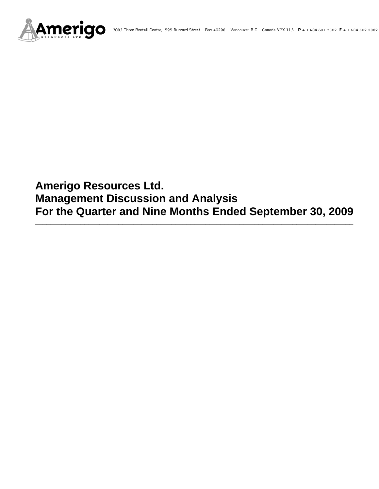

# **Amerigo Resources Ltd. Management Discussion and Analysis For the Quarter and Nine Months Ended September 30, 2009**

**\_\_\_\_\_\_\_\_\_\_\_\_\_\_\_\_\_\_\_\_\_\_\_\_\_\_\_\_\_\_\_\_\_\_\_\_\_\_\_\_\_\_\_\_\_\_\_\_\_\_\_\_\_\_\_\_\_\_\_\_\_\_\_\_\_\_\_\_\_\_\_\_\_\_\_\_\_\_\_\_\_\_\_\_**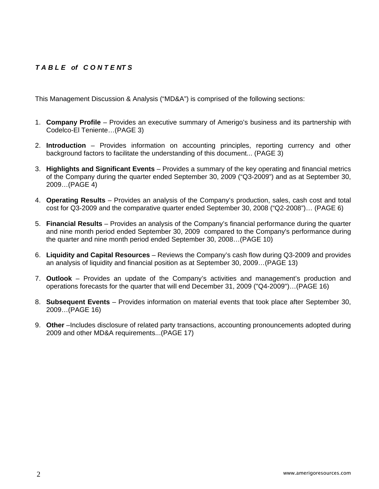# *T A B L E of C O N T E NT S*

This Management Discussion & Analysis ("MD&A") is comprised of the following sections:

- 1. **Company Profile**  Provides an executive summary of Amerigo's business and its partnership with Codelco-El Teniente…(PAGE 3)
- 2. **Introduction**  Provides information on accounting principles, reporting currency and other background factors to facilitate the understanding of this document... (PAGE 3)
- 3. **Highlights and Significant Events** Provides a summary of the key operating and financial metrics of the Company during the quarter ended September 30, 2009 ("Q3-2009") and as at September 30, 2009…(PAGE 4)
- 4. **Operating Results** Provides an analysis of the Company's production, sales, cash cost and total cost for Q3-2009 and the comparative quarter ended September 30, 2008 ("Q2-2008")… (PAGE 6)
- 5. **Financial Results** Provides an analysis of the Company's financial performance during the quarter and nine month period ended September 30, 2009 compared to the Company's performance during the quarter and nine month period ended September 30, 2008…(PAGE 10)
- 6. **Liquidity and Capital Resources** Reviews the Company's cash flow during Q3-2009 and provides an analysis of liquidity and financial position as at September 30, 2009…(PAGE 13)
- 7. **Outlook** Provides an update of the Company's activities and management's production and operations forecasts for the quarter that will end December 31, 2009 ("Q4-2009")…(PAGE 16)
- 8. **Subsequent Events** Provides information on material events that took place after September 30, 2009…(PAGE 16)
- 9. **Other** –Includes disclosure of related party transactions, accounting pronouncements adopted during 2009 and other MD&A requirements...(PAGE 17)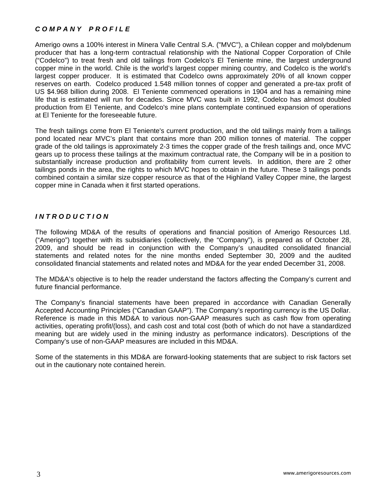# *C O M P A N Y P R O F I L E*

Amerigo owns a 100% interest in Minera Valle Central S.A. ("MVC"), a Chilean copper and molybdenum producer that has a long-term contractual relationship with the National Copper Corporation of Chile ("Codelco") to treat fresh and old tailings from Codelco's El Teniente mine, the largest underground copper mine in the world. Chile is the world's largest copper mining country, and Codelco is the world's largest copper producer. It is estimated that Codelco owns approximately 20% of all known copper reserves on earth. Codelco produced 1.548 million tonnes of copper and generated a pre-tax profit of US \$4.968 billion during 2008. El Teniente commenced operations in 1904 and has a remaining mine life that is estimated will run for decades. Since MVC was built in 1992, Codelco has almost doubled production from El Teniente, and Codelco's mine plans contemplate continued expansion of operations at El Teniente for the foreseeable future.

The fresh tailings come from El Teniente's current production, and the old tailings mainly from a tailings pond located near MVC's plant that contains more than 200 million tonnes of material. The copper grade of the old tailings is approximately 2-3 times the copper grade of the fresh tailings and, once MVC gears up to process these tailings at the maximum contractual rate, the Company will be in a position to substantially increase production and profitability from current levels. In addition, there are 2 other tailings ponds in the area, the rights to which MVC hopes to obtain in the future. These 3 tailings ponds combined contain a similar size copper resource as that of the Highland Valley Copper mine, the largest copper mine in Canada when it first started operations.

## *I N T R O D U C T I O N*

The following MD&A of the results of operations and financial position of Amerigo Resources Ltd. ("Amerigo") together with its subsidiaries (collectively, the "Company"), is prepared as of October 28, 2009, and should be read in conjunction with the Company's unaudited consolidated financial statements and related notes for the nine months ended September 30, 2009 and the audited consolidated financial statements and related notes and MD&A for the year ended December 31, 2008.

The MD&A's objective is to help the reader understand the factors affecting the Company's current and future financial performance.

The Company's financial statements have been prepared in accordance with Canadian Generally Accepted Accounting Principles ("Canadian GAAP"). The Company's reporting currency is the US Dollar. Reference is made in this MD&A to various non-GAAP measures such as cash flow from operating activities, operating profit/(loss), and cash cost and total cost (both of which do not have a standardized meaning but are widely used in the mining industry as performance indicators). Descriptions of the Company's use of non-GAAP measures are included in this MD&A.

Some of the statements in this MD&A are forward-looking statements that are subject to risk factors set out in the cautionary note contained herein.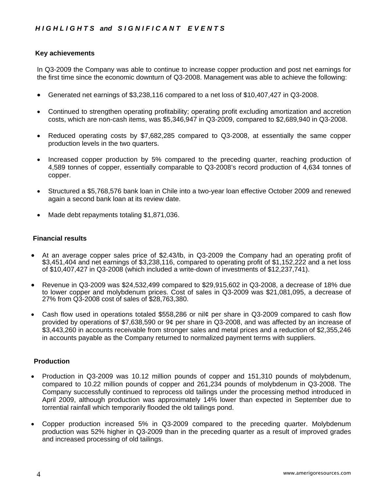## **Key achievements**

In Q3-2009 the Company was able to continue to increase copper production and post net earnings for the first time since the economic downturn of Q3-2008. Management was able to achieve the following:

- Generated net earnings of \$3,238,116 compared to a net loss of \$10,407,427 in Q3-2008.
- Continued to strengthen operating profitability; operating profit excluding amortization and accretion costs, which are non-cash items, was \$5,346,947 in Q3-2009, compared to \$2,689,940 in Q3-2008.
- Reduced operating costs by \$7,682,285 compared to Q3-2008, at essentially the same copper production levels in the two quarters.
- Increased copper production by 5% compared to the preceding quarter, reaching production of 4,589 tonnes of copper, essentially comparable to Q3-2008's record production of 4,634 tonnes of copper.
- Structured a \$5,768,576 bank loan in Chile into a two-year loan effective October 2009 and renewed again a second bank loan at its review date.
- Made debt repayments totaling \$1,871,036.

## **Financial results**

- At an average copper sales price of \$2.43/lb, in Q3-2009 the Company had an operating profit of \$3,451,404 and net earnings of \$3,238,116, compared to operating profit of \$1,152,222 and a net loss of \$10,407,427 in Q3-2008 (which included a write-down of investments of \$12,237,741).
- Revenue in Q3-2009 was \$24,532,499 compared to \$29,915,602 in Q3-2008, a decrease of 18% due to lower copper and molybdenum prices. Cost of sales in Q3-2009 was \$21,081,095, a decrease of 27% from Q3-2008 cost of sales of \$28,763,380.
- Cash flow used in operations totaled \$558,286 or nil¢ per share in Q3-2009 compared to cash flow provided by operations of \$7,638,590 or 9¢ per share in Q3-2008, and was affected by an increase of \$3,443,260 in accounts receivable from stronger sales and metal prices and a reduction of \$2,355,246 in accounts payable as the Company returned to normalized payment terms with suppliers.

## **Production**

- Production in Q3-2009 was 10.12 million pounds of copper and 151,310 pounds of molybdenum, compared to 10.22 million pounds of copper and 261,234 pounds of molybdenum in Q3-2008. The Company successfully continued to reprocess old tailings under the processing method introduced in April 2009, although production was approximately 14% lower than expected in September due to torrential rainfall which temporarily flooded the old tailings pond.
- Copper production increased 5% in Q3-2009 compared to the preceding quarter. Molybdenum production was 52% higher in Q3-2009 than in the preceding quarter as a result of improved grades and increased processing of old tailings.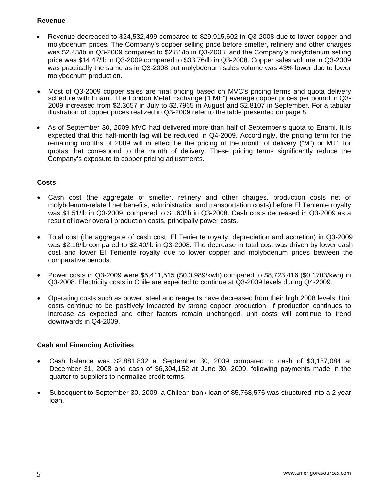# **Revenue**

- Revenue decreased to \$24,532,499 compared to \$29,915,602 in Q3-2008 due to lower copper and molybdenum prices. The Company's copper selling price before smelter, refinery and other charges was \$2.43/lb in Q3-2009 compared to \$2.81/lb in Q3-2008, and the Company's molybdenum selling price was \$14.47/lb in Q3-2009 compared to \$33.76/lb in Q3-2008. Copper sales volume in Q3-2009 was practically the same as in Q3-2008 but molybdenum sales volume was 43% lower due to lower molybdenum production.
- Most of Q3-2009 copper sales are final pricing based on MVC's pricing terms and quota delivery schedule with Enami. The London Metal Exchange ("LME") average copper prices per pound in Q3- 2009 increased from \$2.3657 in July to \$2.7965 in August and \$2.8107 in September. For a tabular illustration of copper prices realized in Q3-2009 refer to the table presented on page 8.
- As of September 30, 2009 MVC had delivered more than half of September's quota to Enami. It is expected that this half-month lag will be reduced in Q4-2009. Accordingly, the pricing term for the remaining months of 2009 will in effect be the pricing of the month of delivery ("M") or M+1 for quotas that correspond to the month of delivery. These pricing terms significantly reduce the Company's exposure to copper pricing adjustments.

# **Costs**

- Cash cost (the aggregate of smelter, refinery and other charges, production costs net of molybdenum-related net benefits, administration and transportation costs) before El Teniente royalty was \$1.51/lb in Q3-2009, compared to \$1.60/lb in Q3-2008. Cash costs decreased in Q3-2009 as a result of lower overall production costs, principally power costs.
- Total cost (the aggregate of cash cost, El Teniente royalty, depreciation and accretion) in Q3-2009 was \$2.16/lb compared to \$2.40/lb in Q3-2008. The decrease in total cost was driven by lower cash cost and lower El Teniente royalty due to lower copper and molybdenum prices between the comparative periods.
- Power costs in Q3-2009 were \$5,411,515 (\$0.0.989/kwh) compared to \$8,723,416 (\$0.1703/kwh) in Q3-2008. Electricity costs in Chile are expected to continue at Q3-2009 levels during Q4-2009.
- Operating costs such as power, steel and reagents have decreased from their high 2008 levels. Unit costs continue to be positively impacted by strong copper production. If production continues to increase as expected and other factors remain unchanged, unit costs will continue to trend downwards in Q4-2009.

## **Cash and Financing Activities**

- Cash balance was \$2,881,832 at September 30, 2009 compared to cash of \$3,187,084 at December 31, 2008 and cash of \$6,304,152 at June 30, 2009, following payments made in the quarter to suppliers to normalize credit terms.
- Subsequent to September 30, 2009, a Chilean bank loan of \$5,768,576 was structured into a 2 year loan.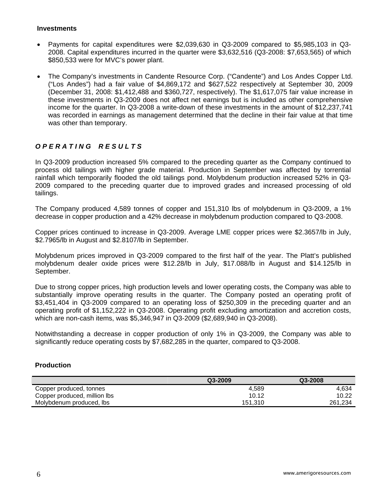#### **Investments**

- Payments for capital expenditures were \$2,039,630 in Q3-2009 compared to \$5,985,103 in Q3- 2008. Capital expenditures incurred in the quarter were \$3,632,516 (Q3-2008: \$7,653,565) of which \$850,533 were for MVC's power plant.
- The Company's investments in Candente Resource Corp. ("Candente") and Los Andes Copper Ltd. ("Los Andes") had a fair value of \$4,869,172 and \$627,522 respectively at September 30, 2009 (December 31, 2008: \$1,412,488 and \$360,727, respectively). The \$1,617,075 fair value increase in these investments in Q3-2009 does not affect net earnings but is included as other comprehensive income for the quarter. In Q3-2008 a write-down of these investments in the amount of \$12,237,741 was recorded in earnings as management determined that the decline in their fair value at that time was other than temporary.

# *O P E R A T I N G R E S U L T S*

In Q3-2009 production increased 5% compared to the preceding quarter as the Company continued to process old tailings with higher grade material. Production in September was affected by torrential rainfall which temporarily flooded the old tailings pond. Molybdenum production increased 52% in Q3- 2009 compared to the preceding quarter due to improved grades and increased processing of old tailings.

The Company produced 4,589 tonnes of copper and 151,310 lbs of molybdenum in Q3-2009, a 1% decrease in copper production and a 42% decrease in molybdenum production compared to Q3-2008.

Copper prices continued to increase in Q3-2009. Average LME copper prices were \$2.3657/lb in July, \$2.7965/lb in August and \$2.8107/lb in September.

Molybdenum prices improved in Q3-2009 compared to the first half of the year. The Platt's published molybdenum dealer oxide prices were \$12.28/lb in July, \$17.088/lb in August and \$14.125/lb in September.

Due to strong copper prices, high production levels and lower operating costs, the Company was able to substantially improve operating results in the quarter. The Company posted an operating profit of \$3,451,404 in Q3-2009 compared to an operating loss of \$250,309 in the preceding quarter and an operating profit of \$1,152,222 in Q3-2008. Operating profit excluding amortization and accretion costs, which are non-cash items, was \$5,346,947 in Q3-2009 (\$2,689,940 in Q3-2008).

Notwithstanding a decrease in copper production of only 1% in Q3-2009, the Company was able to significantly reduce operating costs by \$7,682,285 in the quarter, compared to Q3-2008.

## **Production**

|                              | Q3-2009 | Q3-2008 |
|------------------------------|---------|---------|
| Copper produced, tonnes      | 4.589   | 4.634   |
| Copper produced, million lbs | 10.12   | 10.22   |
| Molybdenum produced, Ibs     | 151.310 | 261,234 |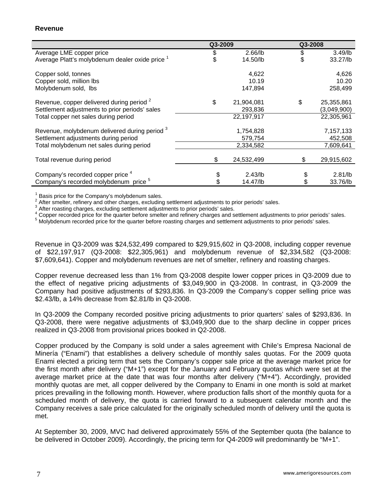## **Revenue**

|                                                            | Q3-2009 |            | Q3-2008 |                   |
|------------------------------------------------------------|---------|------------|---------|-------------------|
| Average LME copper price                                   | \$      | $2.66$ /lb | \$      | $3.49$ /lb        |
| Average Platt's molybdenum dealer oxide price <sup>1</sup> | \$      | 14.50/lb   |         | 33.27/lb          |
| Copper sold, tonnes                                        |         | 4,622      |         | 4,626             |
| Copper sold, million lbs                                   |         | 10.19      |         | 10.20             |
| Molybdenum sold, Ibs                                       |         | 147,894    |         | 258,499           |
| Revenue, copper delivered during period <sup>2</sup>       | \$      | 21,904,081 | \$      | 25,355,861        |
| Settlement adjustments to prior periods' sales             |         | 293,836    |         | (3,049,900)       |
| Total copper net sales during period                       |         | 22,197,917 |         | 22,305,961        |
| Revenue, molybdenum delivered during period 3              |         | 1,754,828  |         | 7,157,133         |
| Settlement adjustments during period                       |         | 579,754    |         | 452,508           |
| Total molybdenum net sales during period                   |         | 2,334,582  |         | 7,609,641         |
| Total revenue during period                                | \$      | 24,532,499 |         | 29,915,602        |
| Company's recorded copper price <sup>4</sup>               |         | $2.43$ /lb |         | 2.81 <sub>l</sub> |
|                                                            |         |            |         |                   |
| Company's recorded molybdenum price <sup>5</sup>           |         | 14.47/lb   |         | 33.76/lb          |

<sup>1</sup> Basis price for the Company's molybdenum sales.<br> $2.0$  fter emoltar, refinery and other eberges, evaluating

After smelter, refinery and other charges, excluding settlement adjustments to prior periods' sales.

 $3$  After roasting charges, excluding settlement adjustments to prior periods' sales.

<sup>4</sup> Copper recorded price for the quarter before smelter and refinery charges and settlement adjustments to prior periods' sales.

<sup>5</sup> Molybdenum recorded price for the quarter before roasting charges and settlement adjustments to prior periods' sales.

Revenue in Q3-2009 was \$24,532,499 compared to \$29,915,602 in Q3-2008, including copper revenue of \$22,197,917 (Q3-2008: \$22,305,961) and molybdenum revenue of \$2,334,582 (Q3-2008: \$7,609,641). Copper and molybdenum revenues are net of smelter, refinery and roasting charges.

Copper revenue decreased less than 1% from Q3-2008 despite lower copper prices in Q3-2009 due to the effect of negative pricing adjustments of \$3,049,900 in Q3-2008. In contrast, in Q3-2009 the Company had positive adjustments of \$293,836. In Q3-2009 the Company's copper selling price was \$2.43/lb, a 14% decrease from \$2.81/lb in Q3-2008.

In Q3-2009 the Company recorded positive pricing adjustments to prior quarters' sales of \$293,836. In Q3-2008, there were negative adjustments of \$3,049,900 due to the sharp decline in copper prices realized in Q3-2008 from provisional prices booked in Q2-2008.

Copper produced by the Company is sold under a sales agreement with Chile's Empresa Nacional de Minería ("Enami") that establishes a delivery schedule of monthly sales quotas. For the 2009 quota Enami elected a pricing term that sets the Company's copper sale price at the average market price for the first month after delivery ("M+1") except for the January and February quotas which were set at the average market price at the date that was four months after delivery ("M+4"). Accordingly, provided monthly quotas are met, all copper delivered by the Company to Enami in one month is sold at market prices prevailing in the following month. However, where production falls short of the monthly quota for a scheduled month of delivery, the quota is carried forward to a subsequent calendar month and the Company receives a sale price calculated for the originally scheduled month of delivery until the quota is met.

At September 30, 2009, MVC had delivered approximately 55% of the September quota (the balance to be delivered in October 2009). Accordingly, the pricing term for Q4-2009 will predominantly be "M+1".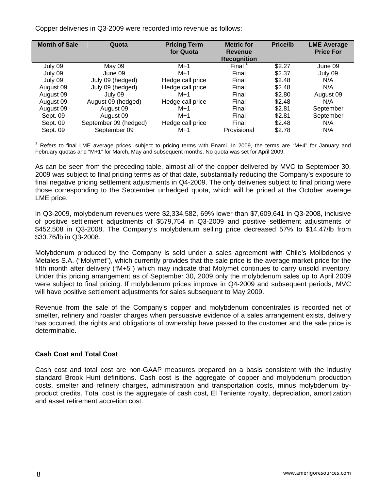Copper deliveries in Q3-2009 were recorded into revenue as follows:

| <b>Month of Sale</b> | Quota                 | <b>Pricing Term</b><br>for Quota | <b>Metric for</b><br><b>Revenue</b> | <b>Price/lb</b> | <b>LME Average</b><br><b>Price For</b> |
|----------------------|-----------------------|----------------------------------|-------------------------------------|-----------------|----------------------------------------|
|                      |                       |                                  | <b>Recognition</b>                  |                 |                                        |
|                      |                       |                                  |                                     |                 |                                        |
| July 09              | May 09                | $M+1$                            | Final                               | \$2.27          | June 09                                |
| July 09              | June 09               | $M+1$                            | Final                               | \$2.37          | July 09                                |
| July 09              | July 09 (hedged)      | Hedge call price                 | Final                               | \$2.48          | N/A                                    |
| August 09            | July 09 (hedged)      | Hedge call price                 | Final                               | \$2.48          | N/A                                    |
| August 09            | July 09               | $M+1$                            | Final                               | \$2.80          | August 09                              |
| August 09            | August 09 (hedged)    | Hedge call price                 | Final                               | \$2.48          | N/A                                    |
| August 09            | August 09             | $M+1$                            | Final                               | \$2.81          | September                              |
| Sept. 09             | August 09             | $M+1$                            | Final                               | \$2.81          | September                              |
| Sept. 09             | September 09 (hedged) | Hedge call price                 | Final                               | \$2.48          | N/A                                    |
| Sept. 09             | September 09          | $M+1$                            | Provisional                         | \$2.78          | N/A                                    |

 $1$  Refers to final LME average prices, subject to pricing terms with Enami. In 2009, the terms are "M+4" for January and February quotas and "M+1" for March, May and subsequent months. No quota was set for April 2009.

As can be seen from the preceding table, almost all of the copper delivered by MVC to September 30, 2009 was subject to final pricing terms as of that date, substantially reducing the Company's exposure to final negative pricing settlement adjustments in Q4-2009. The only deliveries subject to final pricing were those corresponding to the September unhedged quota, which will be priced at the October average LME price.

In Q3-2009, molybdenum revenues were \$2,334,582, 69% lower than \$7,609,641 in Q3-2008, inclusive of positive settlement adjustments of \$579,754 in Q3-2009 and positive settlement adjustments of \$452,508 in Q3-2008. The Company's molybdenum selling price decreased 57% to \$14.47/lb from \$33.76/lb in Q3-2008.

Molybdenum produced by the Company is sold under a sales agreement with Chile's Molibdenos y Metales S.A. ("Molymet"), which currently provides that the sale price is the average market price for the fifth month after delivery ("M+5") which may indicate that Molymet continues to carry unsold inventory. Under this pricing arrangement as of September 30, 2009 only the molybdenum sales up to April 2009 were subject to final pricing. If molybdenum prices improve in Q4-2009 and subsequent periods, MVC will have positive settlement adjustments for sales subsequent to May 2009.

Revenue from the sale of the Company's copper and molybdenum concentrates is recorded net of smelter, refinery and roaster charges when persuasive evidence of a sales arrangement exists, delivery has occurred, the rights and obligations of ownership have passed to the customer and the sale price is determinable.

# **Cash Cost and Total Cost**

Cash cost and total cost are non-GAAP measures prepared on a basis consistent with the industry standard Brook Hunt definitions. Cash cost is the aggregate of copper and molybdenum production costs, smelter and refinery charges, administration and transportation costs, minus molybdenum byproduct credits. Total cost is the aggregate of cash cost, El Teniente royalty, depreciation, amortization and asset retirement accretion cost.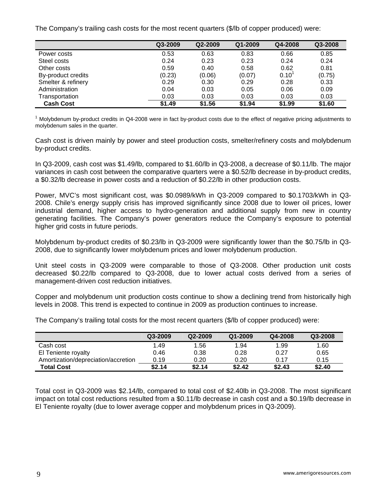The Company's trailing cash costs for the most recent quarters (\$/lb of copper produced) were:

|                    | Q3-2009 | Q2-2009 | Q1-2009 | Q4-2008 | Q3-2008 |
|--------------------|---------|---------|---------|---------|---------|
| Power costs        | 0.53    | 0.63    | 0.83    | 0.66    | 0.85    |
| Steel costs        | 0.24    | 0.23    | 0.23    | 0.24    | 0.24    |
| Other costs        | 0.59    | 0.40    | 0.58    | 0.62    | 0.81    |
| By-product credits | (0.23)  | (0.06)  | (0.07)  | 0.10    | (0.75)  |
| Smelter & refinery | 0.29    | 0.30    | 0.29    | 0.28    | 0.33    |
| Administration     | 0.04    | 0.03    | 0.05    | 0.06    | 0.09    |
| Transportation     | 0.03    | 0.03    | 0.03    | 0.03    | 0.03    |
| <b>Cash Cost</b>   | \$1.49  | \$1.56  | \$1.94  | \$1.99  | \$1.60  |

<sup>1</sup> Molybdenum by-product credits in Q4-2008 were in fact by-product costs due to the effect of negative pricing adjustments to molybdenum sales in the quarter.

Cash cost is driven mainly by power and steel production costs, smelter/refinery costs and molybdenum by-product credits.

In Q3-2009, cash cost was \$1.49/lb, compared to \$1.60/lb in Q3-2008, a decrease of \$0.11/lb. The major variances in cash cost between the comparative quarters were a \$0.52/lb decrease in by-product credits, a \$0.32/lb decrease in power costs and a reduction of \$0.22/lb in other production costs.

Power, MVC's most significant cost, was \$0.0989/kWh in Q3-2009 compared to \$0.1703/kWh in Q3- 2008. Chile's energy supply crisis has improved significantly since 2008 due to lower oil prices, lower industrial demand, higher access to hydro-generation and additional supply from new in country generating facilities. The Company's power generators reduce the Company's exposure to potential higher grid costs in future periods.

Molybdenum by-product credits of \$0.23/lb in Q3-2009 were significantly lower than the \$0.75/lb in Q3- 2008, due to significantly lower molybdenum prices and lower molybdenum production.

Unit steel costs in Q3-2009 were comparable to those of Q3-2008. Other production unit costs decreased \$0.22/lb compared to Q3-2008, due to lower actual costs derived from a series of management-driven cost reduction initiatives.

Copper and molybdenum unit production costs continue to show a declining trend from historically high levels in 2008. This trend is expected to continue in 2009 as production continues to increase.

The Company's trailing total costs for the most recent quarters (\$/lb of copper produced) were:

|                                     | Q3-2009 | Q2-2009 | Q1-2009 | Q4-2008 | Q3-2008 |
|-------------------------------------|---------|---------|---------|---------|---------|
| Cash cost                           | 1.49    | 1.56    | 1.94    | 1.99    | 1.60    |
| El Teniente royalty                 | 0.46    | 0.38    | 0.28    | 0.27    | 0.65    |
| Amortization/depreciation/accretion | 0.19    | 0.20    | 0.20    | 0.17    | 0.15    |
| <b>Total Cost</b>                   | \$2.14  | \$2.14  | \$2.42  | \$2.43  | \$2.40  |

Total cost in Q3-2009 was \$2.14/lb, compared to total cost of \$2.40lb in Q3-2008. The most significant impact on total cost reductions resulted from a \$0.11/lb decrease in cash cost and a \$0.19/lb decrease in El Teniente royalty (due to lower average copper and molybdenum prices in Q3-2009).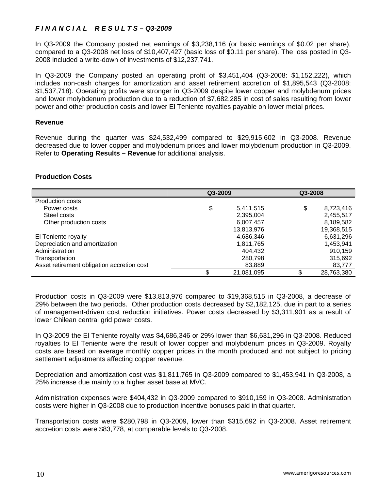# *F I N A N C I A L R E S U L T S – Q3-2009*

In Q3-2009 the Company posted net earnings of \$3,238,116 (or basic earnings of \$0.02 per share), compared to a Q3-2008 net loss of \$10,407,427 (basic loss of \$0.11 per share). The loss posted in Q3- 2008 included a write-down of investments of \$12,237,741.

In Q3-2009 the Company posted an operating profit of \$3,451,404 (Q3-2008: \$1,152,222), which includes non-cash charges for amortization and asset retirement accretion of \$1,895,543 (Q3-2008: \$1,537,718). Operating profits were stronger in Q3-2009 despite lower copper and molybdenum prices and lower molybdenum production due to a reduction of \$7,682,285 in cost of sales resulting from lower power and other production costs and lower El Teniente royalties payable on lower metal prices.

## **Revenue**

Revenue during the quarter was \$24,532,499 compared to \$29,915,602 in Q3-2008. Revenue decreased due to lower copper and molybdenum prices and lower molybdenum production in Q3-2009. Refer to **Operating Results – Revenue** for additional analysis.

# **Production Costs**

|                                            | Q3-2009          | Q3-2008 |            |
|--------------------------------------------|------------------|---------|------------|
| <b>Production costs</b>                    |                  |         |            |
| Power costs                                | \$<br>5,411,515  | \$      | 8,723,416  |
| Steel costs                                | 2,395,004        |         | 2,455,517  |
| Other production costs                     | 6,007,457        |         | 8,189,582  |
|                                            | 13,813,976       |         | 19,368,515 |
| El Teniente royalty                        | 4,686,346        |         | 6,631,296  |
| Depreciation and amortization              | 1,811,765        |         | 1,453,941  |
| Administration                             | 404.432          |         | 910,159    |
| Transportation                             | 280,798          |         | 315,692    |
| Asset retirement obligation accretion cost | 83,889           |         | 83,777     |
|                                            | \$<br>21,081,095 | \$      | 28,763,380 |

Production costs in Q3-2009 were \$13,813,976 compared to \$19,368,515 in Q3-2008, a decrease of 29% between the two periods. Other production costs decreased by \$2,182,125, due in part to a series of management-driven cost reduction initiatives. Power costs decreased by \$3,311,901 as a result of lower Chilean central grid power costs.

In Q3-2009 the El Teniente royalty was \$4,686,346 or 29% lower than \$6,631,296 in Q3-2008. Reduced royalties to El Teniente were the result of lower copper and molybdenum prices in Q3-2009. Royalty costs are based on average monthly copper prices in the month produced and not subject to pricing settlement adjustments affecting copper revenue.

Depreciation and amortization cost was \$1,811,765 in Q3-2009 compared to \$1,453,941 in Q3-2008, a 25% increase due mainly to a higher asset base at MVC.

Administration expenses were \$404,432 in Q3-2009 compared to \$910,159 in Q3-2008. Administration costs were higher in Q3-2008 due to production incentive bonuses paid in that quarter.

Transportation costs were \$280,798 in Q3-2009, lower than \$315,692 in Q3-2008. Asset retirement accretion costs were \$83,778, at comparable levels to Q3-2008.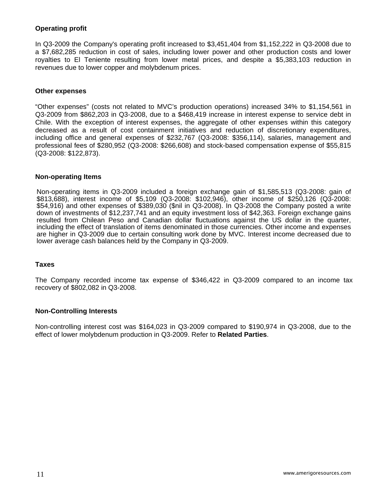# **Operating profit**

In Q3-2009 the Company's operating profit increased to \$3,451,404 from \$1,152,222 in Q3-2008 due to a \$7,682,285 reduction in cost of sales, including lower power and other production costs and lower royalties to El Teniente resulting from lower metal prices, and despite a \$5,383,103 reduction in revenues due to lower copper and molybdenum prices.

#### **Other expenses**

"Other expenses" (costs not related to MVC's production operations) increased 34% to \$1,154,561 in Q3-2009 from \$862,203 in Q3-2008, due to a \$468,419 increase in interest expense to service debt in Chile. With the exception of interest expenses, the aggregate of other expenses within this category decreased as a result of cost containment initiatives and reduction of discretionary expenditures, including office and general expenses of \$232,767 (Q3-2008: \$356,114), salaries, management and professional fees of \$280,952 (Q3-2008: \$266,608) and stock-based compensation expense of \$55,815 (Q3-2008: \$122,873).

#### **Non-operating Items**

Non-operating items in Q3-2009 included a foreign exchange gain of \$1,585,513 (Q3-2008: gain of \$813,688), interest income of \$5,109 (Q3-2008: \$102,946), other income of \$250,126 (Q3-2008: \$54,916) and other expenses of \$389,030 (\$nil in Q3-2008). In Q3-2008 the Company posted a write down of investments of \$12,237,741 and an equity investment loss of \$42,363. Foreign exchange gains resulted from Chilean Peso and Canadian dollar fluctuations against the US dollar in the quarter, including the effect of translation of items denominated in those currencies. Other income and expenses are higher in Q3-2009 due to certain consulting work done by MVC. Interest income decreased due to lower average cash balances held by the Company in Q3-2009.

## **Taxes**

The Company recorded income tax expense of \$346,422 in Q3-2009 compared to an income tax recovery of \$802,082 in Q3-2008.

## **Non-Controlling Interests**

Non-controlling interest cost was \$164,023 in Q3-2009 compared to \$190,974 in Q3-2008, due to the effect of lower molybdenum production in Q3-2009. Refer to **Related Parties**.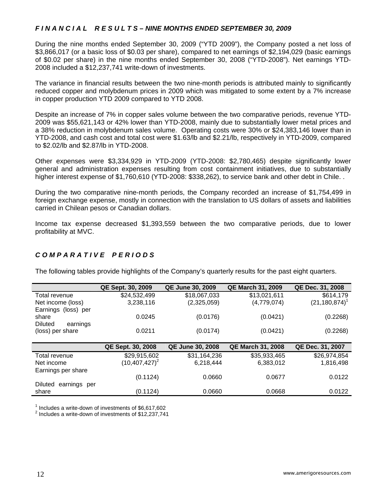# *F I N A N C I A L R E S U L T S – NINE MONTHS ENDED SEPTEMBER 30, 2009*

During the nine months ended September 30, 2009 ("YTD 2009"), the Company posted a net loss of \$3,866,017 (or a basic loss of \$0.03 per share), compared to net earnings of \$2,194,029 (basic earnings of \$0.02 per share) in the nine months ended September 30, 2008 ("YTD-2008"). Net earnings YTD-2008 included a \$12,237,741 write-down of investments.

The variance in financial results between the two nine-month periods is attributed mainly to significantly reduced copper and molybdenum prices in 2009 which was mitigated to some extent by a 7% increase in copper production YTD 2009 compared to YTD 2008.

Despite an increase of 7% in copper sales volume between the two comparative periods, revenue YTD-2009 was \$55,621,143 or 42% lower than YTD-2008, mainly due to substantially lower metal prices and a 38% reduction in molybdenum sales volume. Operating costs were 30% or \$24,383,146 lower than in YTD-2008, and cash cost and total cost were \$1.63/lb and \$2.21/lb, respectively in YTD-2009, compared to \$2.02/lb and \$2.87/lb in YTD-2008.

Other expenses were \$3,334,929 in YTD-2009 (YTD-2008: \$2,780,465) despite significantly lower general and administration expenses resulting from cost containment initiatives, due to substantially higher interest expense of \$1,760,610 (YTD-2008: \$338,262), to service bank and other debt in Chile. .

During the two comparative nine-month periods, the Company recorded an increase of \$1,754,499 in foreign exchange expense, mostly in connection with the translation to US dollars of assets and liabilities carried in Chilean pesos or Canadian dollars.

Income tax expense decreased \$1,393,559 between the two comparative periods, due to lower profitability at MVC.

# *C O M P A R A T I V E P E R I O D S*

The following tables provide highlights of the Company's quarterly results for the past eight quarters.

|                                | QE Sept. 30, 2009        | <b>QE June 30, 2009</b> | <b>QE March 31, 2009</b> | QE Dec. 31, 2008   |
|--------------------------------|--------------------------|-------------------------|--------------------------|--------------------|
| Total revenue                  | \$24,532,499             | \$18,067,033            | \$13,021,611             | \$614,179          |
| Net income (loss)              | 3,238,116                | (2,325,059)             | (4,779,074)              | $(21, 180, 874)^T$ |
| Earnings (loss) per            |                          |                         |                          |                    |
| share                          | 0.0245                   | (0.0176)                | (0.0421)                 | (0.2268)           |
| <b>Diluted</b><br>earnings     |                          |                         |                          |                    |
| (loss) per share               | 0.0211                   | (0.0174)                | (0.0421)                 | (0.2268)           |
|                                |                          |                         |                          |                    |
|                                | <b>QE Sept. 30, 2008</b> | <b>QE June 30, 2008</b> | <b>QE March 31, 2008</b> | QE Dec. 31, 2007   |
| Total revenue                  | \$29,915,602             | \$31,164,236            | \$35,933,465             | \$26,974,854       |
| Net income                     | $(10, 407, 427)^2$       | 6,218,444               | 6,383,012                | 1,816,498          |
| Earnings per share             |                          |                         |                          |                    |
|                                | (0.1124)                 | 0.0660                  | 0.0677                   | 0.0122             |
| <b>Diluted</b><br>earnings per |                          |                         |                          |                    |
| share                          | (0.1124)                 | 0.0660                  | 0.0668                   | 0.0122             |

<sup>1</sup> Includes a write-down of investments of  $$6,617,602$ <br> $^2$  lnoludes a write down of investments of  $$12,227,741$ 

 $2$  Includes a write-down of investments of \$12,237,741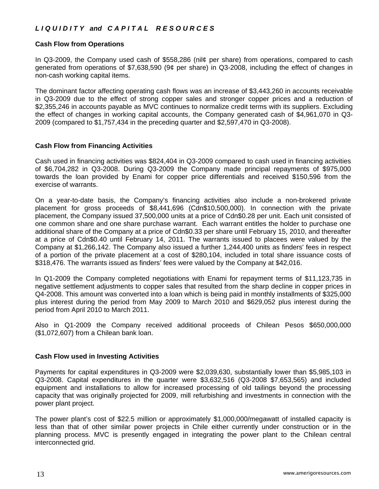# *L I Q U I D I T Y and C A P I T A L R E S O U R C E S*

# **Cash Flow from Operations**

In Q3-2009, the Company used cash of \$558,286 (nil¢ per share) from operations, compared to cash generated from operations of \$7,638,590 (9¢ per share) in Q3-2008, including the effect of changes in non-cash working capital items.

The dominant factor affecting operating cash flows was an increase of \$3,443,260 in accounts receivable in Q3-2009 due to the effect of strong copper sales and stronger copper prices and a reduction of \$2,355,246 in accounts payable as MVC continues to normalize credit terms with its suppliers. Excluding the effect of changes in working capital accounts, the Company generated cash of \$4,961,070 in Q3- 2009 (compared to \$1,757,434 in the preceding quarter and \$2,597,470 in Q3-2008).

## **Cash Flow from Financing Activities**

Cash used in financing activities was \$824,404 in Q3-2009 compared to cash used in financing activities of \$6,704,282 in Q3-2008. During Q3-2009 the Company made principal repayments of \$975,000 towards the loan provided by Enami for copper price differentials and received \$150,596 from the exercise of warrants.

On a year-to-date basis, the Company's financing activities also include a non-brokered private placement for gross proceeds of \$8,441,696 (Cdn\$10,500,000). In connection with the private placement, the Company issued 37,500,000 units at a price of Cdn\$0.28 per unit. Each unit consisted of one common share and one share purchase warrant. Each warrant entitles the holder to purchase one additional share of the Company at a price of Cdn\$0.33 per share until February 15, 2010, and thereafter at a price of Cdn\$0.40 until February 14, 2011. The warrants issued to placees were valued by the Company at \$1,266,142. The Company also issued a further 1,244,400 units as finders' fees in respect of a portion of the private placement at a cost of \$280,104, included in total share issuance costs of \$318,476. The warrants issued as finders' fees were valued by the Company at \$42,016.

In Q1-2009 the Company completed negotiations with Enami for repayment terms of \$11,123,735 in negative settlement adjustments to copper sales that resulted from the sharp decline in copper prices in Q4-2008. This amount was converted into a loan which is being paid in monthly installments of \$325,000 plus interest during the period from May 2009 to March 2010 and \$629,052 plus interest during the period from April 2010 to March 2011.

Also in Q1-2009 the Company received additional proceeds of Chilean Pesos \$650,000,000 (\$1,072,607) from a Chilean bank loan.

## **Cash Flow used in Investing Activities**

Payments for capital expenditures in Q3-2009 were \$2,039,630, substantially lower than \$5,985,103 in Q3-2008. Capital expenditures in the quarter were \$3,632,516 (Q3-2008 \$7,653,565) and included equipment and installations to allow for increased processing of old tailings beyond the processing capacity that was originally projected for 2009, mill refurbishing and investments in connection with the power plant project.

The power plant's cost of \$22.5 million or approximately \$1,000,000/megawatt of installed capacity is less than that of other similar power projects in Chile either currently under construction or in the planning process. MVC is presently engaged in integrating the power plant to the Chilean central interconnected grid.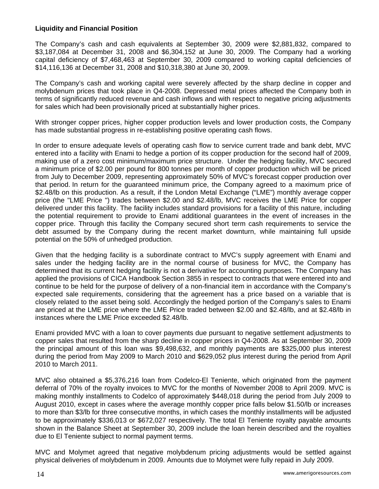# **Liquidity and Financial Position**

The Company's cash and cash equivalents at September 30, 2009 were \$2,881,832, compared to \$3,187,084 at December 31, 2008 and \$6,304,152 at June 30, 2009. The Company had a working capital deficiency of \$7,468,463 at September 30, 2009 compared to working capital deficiencies of \$14,116,136 at December 31, 2008 and \$10,318,380 at June 30, 2009.

The Company's cash and working capital were severely affected by the sharp decline in copper and molybdenum prices that took place in Q4-2008. Depressed metal prices affected the Company both in terms of significantly reduced revenue and cash inflows and with respect to negative pricing adjustments for sales which had been provisionally priced at substantially higher prices.

With stronger copper prices, higher copper production levels and lower production costs, the Company has made substantial progress in re-establishing positive operating cash flows.

In order to ensure adequate levels of operating cash flow to service current trade and bank debt, MVC entered into a facility with Enami to hedge a portion of its copper production for the second half of 2009, making use of a zero cost minimum/maximum price structure. Under the hedging facility, MVC secured a minimum price of \$2.00 per pound for 800 tonnes per month of copper production which will be priced from July to December 2009, representing approximately 50% of MVC's forecast copper production over that period. In return for the guaranteed minimum price, the Company agreed to a maximum price of \$2.48/lb on this production. As a result, if the London Metal Exchange ("LME") monthly average copper price (the "LME Price ") trades between \$2.00 and \$2.48/lb, MVC receives the LME Price for copper delivered under this facility. The facility includes standard provisions for a facility of this nature, including the potential requirement to provide to Enami additional guarantees in the event of increases in the copper price. Through this facility the Company secured short term cash requirements to service the debt assumed by the Company during the recent market downturn, while maintaining full upside potential on the 50% of unhedged production.

Given that the hedging facility is a subordinate contract to MVC's supply agreement with Enami and sales under the hedging facility are in the normal course of business for MVC, the Company has determined that its current hedging facility is not a derivative for accounting purposes. The Company has applied the provisions of CICA Handbook Section 3855 in respect to contracts that were entered into and continue to be held for the purpose of delivery of a non-financial item in accordance with the Company's expected sale requirements, considering that the agreement has a price based on a variable that is closely related to the asset being sold. Accordingly the hedged portion of the Company's sales to Enami are priced at the LME price where the LME Price traded between \$2.00 and \$2.48/lb, and at \$2.48/lb in instances where the LME Price exceeded \$2.48/lb.

Enami provided MVC with a loan to cover payments due pursuant to negative settlement adjustments to copper sales that resulted from the sharp decline in copper prices in Q4-2008. As at September 30, 2009 the principal amount of this loan was \$9,498,632, and monthly payments are \$325,000 plus interest during the period from May 2009 to March 2010 and \$629,052 plus interest during the period from April 2010 to March 2011.

MVC also obtained a \$5,376,216 loan from Codelco-El Teniente, which originated from the payment deferral of 70% of the royalty invoices to MVC for the months of November 2008 to April 2009. MVC is making monthly installments to Codelco of approximately \$448,018 during the period from July 2009 to August 2010, except in cases where the average monthly copper price falls below \$1.50/lb or increases to more than \$3/lb for three consecutive months, in which cases the monthly installments will be adjusted to be approximately \$336,013 or \$672,027 respectively. The total El Teniente royalty payable amounts shown in the Balance Sheet at September 30, 2009 include the loan herein described and the royalties due to El Teniente subject to normal payment terms.

MVC and Molymet agreed that negative molybdenum pricing adjustments would be settled against physical deliveries of molybdenum in 2009. Amounts due to Molymet were fully repaid in July 2009.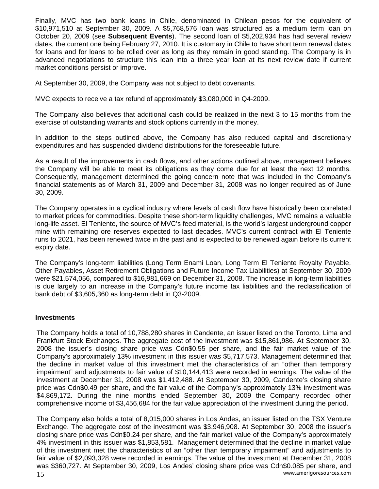Finally, MVC has two bank loans in Chile, denominated in Chilean pesos for the equivalent of \$10,971,510 at September 30, 2009. A \$5,768,576 loan was structured as a medium term loan on October 20, 2009 (see **Subsequent Events**). The second loan of \$5,202,934 has had several review dates, the current one being February 27, 2010. It is customary in Chile to have short term renewal dates for loans and for loans to be rolled over as long as they remain in good standing. The Company is in advanced negotiations to structure this loan into a three year loan at its next review date if current market conditions persist or improve.

At September 30, 2009, the Company was not subject to debt covenants.

MVC expects to receive a tax refund of approximately \$3,080,000 in Q4-2009.

The Company also believes that additional cash could be realized in the next 3 to 15 months from the exercise of outstanding warrants and stock options currently in the money.

In addition to the steps outlined above, the Company has also reduced capital and discretionary expenditures and has suspended dividend distributions for the foreseeable future.

As a result of the improvements in cash flows, and other actions outlined above, management believes the Company will be able to meet its obligations as they come due for at least the next 12 months. Consequently, management determined the going concern note that was included in the Company's financial statements as of March 31, 2009 and December 31, 2008 was no longer required as of June 30, 2009.

The Company operates in a cyclical industry where levels of cash flow have historically been correlated to market prices for commodities. Despite these short-term liquidity challenges, MVC remains a valuable long-life asset. El Teniente, the source of MVC's feed material, is the world's largest underground copper mine with remaining ore reserves expected to last decades. MVC's current contract with El Teniente runs to 2021, has been renewed twice in the past and is expected to be renewed again before its current expiry date.

The Company's long-term liabilities (Long Term Enami Loan, Long Term El Teniente Royalty Payable, Other Payables, Asset Retirement Obligations and Future Income Tax Liabilities) at September 30, 2009 were \$21,574,056, compared to \$16,981,669 on December 31, 2008. The increase in long-term liabilities is due largely to an increase in the Company's future income tax liabilities and the reclassification of bank debt of \$3,605,360 as long-term debt in Q3-2009.

## **Investments**

The Company holds a total of 10,788,280 shares in Candente, an issuer listed on the Toronto, Lima and Frankfurt Stock Exchanges. The aggregate cost of the investment was \$15,861,986. At September 30, 2008 the issuer's closing share price was Cdn\$0.55 per share, and the fair market value of the Company's approximately 13% investment in this issuer was \$5,717,573. Management determined that the decline in market value of this investment met the characteristics of an "other than temporary impairment" and adjustments to fair value of \$10,144,413 were recorded in earnings. The value of the investment at December 31, 2008 was \$1,412,488. At September 30, 2009, Candente's closing share price was Cdn\$0.49 per share, and the fair value of the Company's approximately 13% investment was \$4,869,172. During the nine months ended September 30, 2009 the Company recorded other comprehensive income of \$3,456,684 for the fair value appreciation of the investment during the period.

 www.amerigoresources.com 15 The Company also holds a total of 8,015,000 shares in Los Andes, an issuer listed on the TSX Venture Exchange. The aggregate cost of the investment was \$3,946,908. At September 30, 2008 the issuer's closing share price was Cdn\$0.24 per share, and the fair market value of the Company's approximately 4% investment in this issuer was \$1,853,581. Management determined that the decline in market value of this investment met the characteristics of an "other than temporary impairment" and adjustments to fair value of \$2,093,328 were recorded in earnings. The value of the investment at December 31, 2008 was \$360,727. At September 30, 2009, Los Andes' closing share price was Cdn\$0.085 per share, and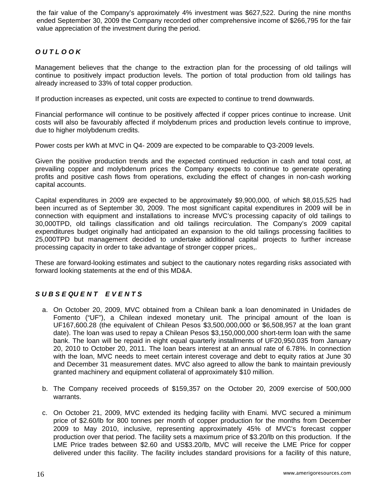the fair value of the Company's approximately 4% investment was \$627,522. During the nine months ended September 30, 2009 the Company recorded other comprehensive income of \$266,795 for the fair value appreciation of the investment during the period.

# *O U T L O O K*

Management believes that the change to the extraction plan for the processing of old tailings will continue to positively impact production levels. The portion of total production from old tailings has already increased to 33% of total copper production.

If production increases as expected, unit costs are expected to continue to trend downwards.

Financial performance will continue to be positively affected if copper prices continue to increase. Unit costs will also be favourably affected if molybdenum prices and production levels continue to improve, due to higher molybdenum credits.

Power costs per kWh at MVC in Q4- 2009 are expected to be comparable to Q3-2009 levels.

Given the positive production trends and the expected continued reduction in cash and total cost, at prevailing copper and molybdenum prices the Company expects to continue to generate operating profits and positive cash flows from operations, excluding the effect of changes in non-cash working capital accounts.

Capital expenditures in 2009 are expected to be approximately \$9,900,000, of which \$8,015,525 had been incurred as of September 30, 2009. The most significant capital expenditures in 2009 will be in connection with equipment and installations to increase MVC's processing capacity of old tailings to 30,000TPD, old tailings classification and old tailings recirculation. The Company's 2009 capital expenditures budget originally had anticipated an expansion to the old tailings processing facilities to 25,000TPD but management decided to undertake additional capital projects to further increase processing capacity in order to take advantage of stronger copper prices,.

These are forward-looking estimates and subject to the cautionary notes regarding risks associated with forward looking statements at the end of this MD&A.

# *S U B S E QU E N T E V E N T S*

- a. On October 20, 2009, MVC obtained from a Chilean bank a loan denominated in Unidades de Fomento ("UF"), a Chilean indexed monetary unit. The principal amount of the loan is UF167,600.28 (the equivalent of Chilean Pesos \$3,500,000,000 or \$6,508,957 at the loan grant date). The loan was used to repay a Chilean Pesos \$3,150,000,000 short-term loan with the same bank. The loan will be repaid in eight equal quarterly installments of UF20,950.035 from January 20, 2010 to October 20, 2011. The loan bears interest at an annual rate of 6.78%. In connection with the loan, MVC needs to meet certain interest coverage and debt to equity ratios at June 30 and December 31 measurement dates. MVC also agreed to allow the bank to maintain previously granted machinery and equipment collateral of approximately \$10 million.
- b. The Company received proceeds of \$159,357 on the October 20, 2009 exercise of 500,000 warrants.
- c. On October 21, 2009, MVC extended its hedging facility with Enami. MVC secured a minimum price of \$2.60/lb for 800 tonnes per month of copper production for the months from December 2009 to May 2010, inclusive, representing approximately 45% of MVC's forecast copper production over that period. The facility sets a maximum price of \$3.20/lb on this production. If the LME Price trades between \$2.60 and US\$3.20/lb, MVC will receive the LME Price for copper delivered under this facility. The facility includes standard provisions for a facility of this nature,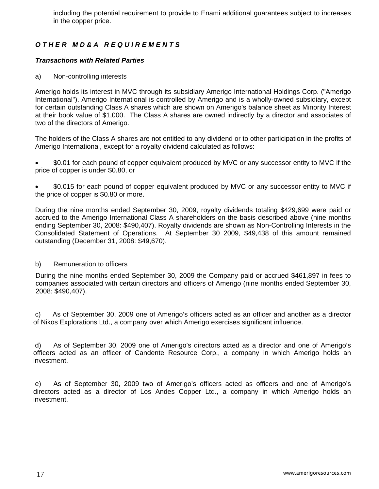including the potential requirement to provide to Enami additional guarantees subject to increases in the copper price.

# *O T H E R M D & A R E Q U I R E M E N T S*

# *Transactions with Related Parties*

a) Non-controlling interests

Amerigo holds its interest in MVC through its subsidiary Amerigo International Holdings Corp. ("Amerigo International"). Amerigo International is controlled by Amerigo and is a wholly-owned subsidiary, except for certain outstanding Class A shares which are shown on Amerigo's balance sheet as Minority Interest at their book value of \$1,000. The Class A shares are owned indirectly by a director and associates of two of the directors of Amerigo.

The holders of the Class A shares are not entitled to any dividend or to other participation in the profits of Amerigo International, except for a royalty dividend calculated as follows:

• \$0.01 for each pound of copper equivalent produced by MVC or any successor entity to MVC if the price of copper is under \$0.80, or

• \$0.015 for each pound of copper equivalent produced by MVC or any successor entity to MVC if the price of copper is \$0.80 or more.

During the nine months ended September 30, 2009, royalty dividends totaling \$429,699 were paid or accrued to the Amerigo International Class A shareholders on the basis described above (nine months ending September 30, 2008: \$490,407). Royalty dividends are shown as Non-Controlling Interests in the Consolidated Statement of Operations. At September 30 2009, \$49,438 of this amount remained outstanding (December 31, 2008: \$49,670).

# b) Remuneration to officers

During the nine months ended September 30, 2009 the Company paid or accrued \$461,897 in fees to companies associated with certain directors and officers of Amerigo (nine months ended September 30, 2008: \$490,407).

c) As of September 30, 2009 one of Amerigo's officers acted as an officer and another as a director of Nikos Explorations Ltd., a company over which Amerigo exercises significant influence.

d) As of September 30, 2009 one of Amerigo's directors acted as a director and one of Amerigo's officers acted as an officer of Candente Resource Corp., a company in which Amerigo holds an investment.

e) As of September 30, 2009 two of Amerigo's officers acted as officers and one of Amerigo's directors acted as a director of Los Andes Copper Ltd., a company in which Amerigo holds an investment.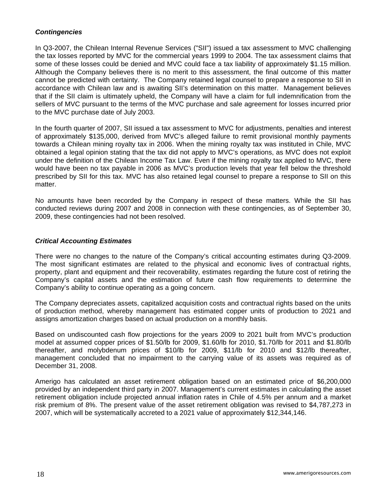# *Contingencies*

In Q3-2007, the Chilean Internal Revenue Services ("SII") issued a tax assessment to MVC challenging the tax losses reported by MVC for the commercial years 1999 to 2004. The tax assessment claims that some of these losses could be denied and MVC could face a tax liability of approximately \$1.15 million. Although the Company believes there is no merit to this assessment, the final outcome of this matter cannot be predicted with certainty. The Company retained legal counsel to prepare a response to SII in accordance with Chilean law and is awaiting SII's determination on this matter. Management believes that if the SII claim is ultimately upheld, the Company will have a claim for full indemnification from the sellers of MVC pursuant to the terms of the MVC purchase and sale agreement for losses incurred prior to the MVC purchase date of July 2003.

In the fourth quarter of 2007, SII issued a tax assessment to MVC for adjustments, penalties and interest of approximately \$135,000, derived from MVC's alleged failure to remit provisional monthly payments towards a Chilean mining royalty tax in 2006. When the mining royalty tax was instituted in Chile, MVC obtained a legal opinion stating that the tax did not apply to MVC's operations, as MVC does not exploit under the definition of the Chilean Income Tax Law. Even if the mining royalty tax applied to MVC, there would have been no tax payable in 2006 as MVC's production levels that year fell below the threshold prescribed by SII for this tax. MVC has also retained legal counsel to prepare a response to SII on this matter.

No amounts have been recorded by the Company in respect of these matters. While the SII has conducted reviews during 2007 and 2008 in connection with these contingencies, as of September 30, 2009, these contingencies had not been resolved.

# *Critical Accounting Estimates*

There were no changes to the nature of the Company's critical accounting estimates during Q3-2009. The most significant estimates are related to the physical and economic lives of contractual rights, property, plant and equipment and their recoverability, estimates regarding the future cost of retiring the Company's capital assets and the estimation of future cash flow requirements to determine the Company's ability to continue operating as a going concern.

The Company depreciates assets, capitalized acquisition costs and contractual rights based on the units of production method, whereby management has estimated copper units of production to 2021 and assigns amortization charges based on actual production on a monthly basis.

Based on undiscounted cash flow projections for the years 2009 to 2021 built from MVC's production model at assumed copper prices of \$1.50/lb for 2009, \$1.60/lb for 2010, \$1.70/lb for 2011 and \$1.80/lb thereafter, and molybdenum prices of \$10/lb for 2009, \$11/lb for 2010 and \$12/lb thereafter, management concluded that no impairment to the carrying value of its assets was required as of December 31, 2008.

Amerigo has calculated an asset retirement obligation based on an estimated price of \$6,200,000 provided by an independent third party in 2007. Management's current estimates in calculating the asset retirement obligation include projected annual inflation rates in Chile of 4.5% per annum and a market risk premium of 8%. The present value of the asset retirement obligation was revised to \$4,787,273 in 2007, which will be systematically accreted to a 2021 value of approximately \$12,344,146.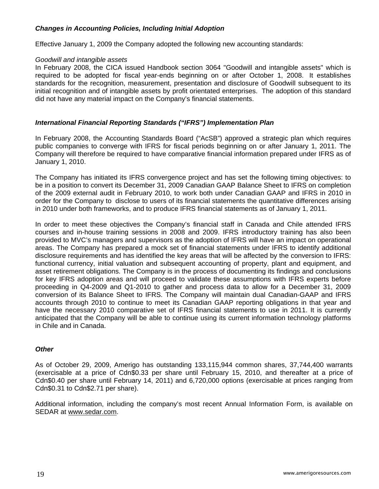# *Changes in Accounting Policies, Including Initial Adoption*

Effective January 1, 2009 the Company adopted the following new accounting standards:

## *Goodwill and intangible assets*

In February 2008, the CICA issued Handbook section 3064 "Goodwill and intangible assets" which is required to be adopted for fiscal year-ends beginning on or after October 1, 2008. It establishes standards for the recognition, measurement, presentation and disclosure of Goodwill subsequent to its initial recognition and of intangible assets by profit orientated enterprises. The adoption of this standard did not have any material impact on the Company's financial statements.

## *International Financial Reporting Standards ("IFRS") Implementation Plan*

In February 2008, the Accounting Standards Board ("AcSB") approved a strategic plan which requires public companies to converge with IFRS for fiscal periods beginning on or after [January 1, 2011.](javascript:void(0);) The Company will therefore be required to have comparative financial information prepared under IFRS as of [January 1, 2010.](javascript:void(0);)

The Company has initiated its IFRS convergence project and has set the following timing objectives: to be in a position to convert its [December 31, 2009](javascript:void(0);) Canadian GAAP Balance Sheet to IFRS on completion of the 2009 external audit in February 2010, to work both under Canadian GAAP and IFRS in 2010 in order for the Company to disclose to users of its financial statements the quantitative differences arising in 2010 under both frameworks, and to produce IFRS financial statements as of [January 1, 2011](javascript:void(0);).

In order to meet these objectives the Company's financial staff in Canada and Chile attended IFRS courses and in-house training sessions in 2008 and 2009. IFRS introductory training has also been provided to MVC's managers and supervisors as the adoption of IFRS will have an impact on operational areas. The Company has prepared a mock set of financial statements under IFRS to identify additional disclosure requirements and has identified the key areas that will be affected by the conversion to IFRS: functional currency, initial valuation and subsequent accounting of property, plant and equipment, and asset retirement obligations. The Company is in the process of documenting its findings and conclusions for key IFRS adoption areas and will proceed to validate these assumptions with IFRS experts before proceeding in Q4-2009 and Q1-2010 to gather and process data to allow for a December 31, 2009 conversion of its Balance Sheet to IFRS. The Company will maintain dual Canadian-GAAP and IFRS accounts through 2010 to continue to meet its Canadian GAAP reporting obligations in that year and have the necessary 2010 comparative set of IFRS financial statements to use in 2011. It is currently anticipated that the Company will be able to continue using its current information technology platforms in Chile and in Canada.

## *Other*

As of October 29, 2009, Amerigo has outstanding 133,115,944 common shares, 37,744,400 warrants (exercisable at a price of Cdn\$0.33 per share until February 15, 2010, and thereafter at a price of Cdn\$0.40 per share until February 14, 2011) and 6,720,000 options (exercisable at prices ranging from Cdn\$0.31 to Cdn\$2.71 per share).

Additional information, including the company's most recent Annual Information Form, is available on SEDAR at [www.sedar.com](http://www.sedar.com/).